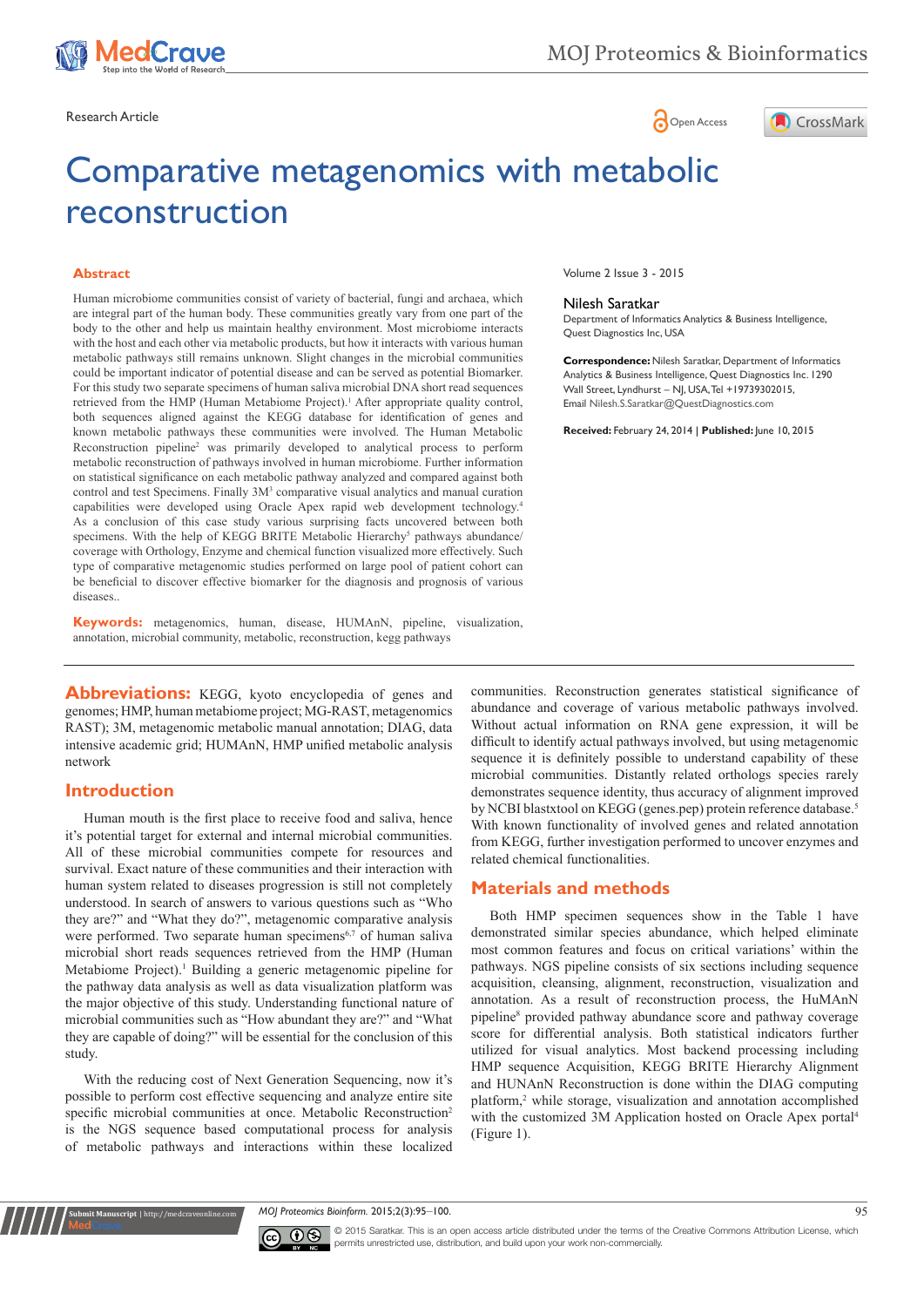

Research Article **Contracts and Contracts and Contracts and Contracts and Contracts and Contracts and Copen Access** 



# Comparative metagenomics with metabolic reconstruction

#### **Abstract**

Human microbiome communities consist of variety of bacterial, fungi and archaea, which are integral part of the human body. These communities greatly vary from one part of the body to the other and help us maintain healthy environment. Most microbiome interacts with the host and each other via metabolic products, but how it interacts with various human metabolic pathways still remains unknown. Slight changes in the microbial communities could be important indicator of potential disease and can be served as potential Biomarker. For this study two separate specimens of human saliva microbial DNA short read sequences retrieved from the HMP (Human Metabiome Project).<sup>1</sup> After appropriate quality control, both sequences aligned against the KEGG database for identification of genes and known metabolic pathways these communities were involved. The Human Metabolic Reconstruction pipeline<sup>2</sup> was primarily developed to analytical process to perform metabolic reconstruction of pathways involved in human microbiome. Further information on statistical significance on each metabolic pathway analyzed and compared against both control and test Specimens. Finally  $3M<sup>3</sup>$  comparative visual analytics and manual curation capabilities were developed using Oracle Apex rapid web development technology.4 As a conclusion of this case study various surprising facts uncovered between both specimens. With the help of KEGG BRITE Metabolic Hierarchy<sup>5</sup> pathways abundance/ coverage with Orthology, Enzyme and chemical function visualized more effectively. Such type of comparative metagenomic studies performed on large pool of patient cohort can be beneficial to discover effective biomarker for the diagnosis and prognosis of various diseases..

**Keywords:** metagenomics, human, disease, HUMAnN, pipeline, visualization, annotation, microbial community, metabolic, reconstruction, kegg pathways

**Abbreviations:** KEGG, kyoto encyclopedia of genes and genomes; HMP, human metabiome project; MG-RAST, metagenomics RAST); 3M, metagenomic metabolic manual annotation; DIAG, data intensive academic grid; HUMAnN, HMP unified metabolic analysis network

## **Introduction**

**Kubmit Manuscript** | http://medcraveonline

Human mouth is the first place to receive food and saliva, hence it's potential target for external and internal microbial communities. All of these microbial communities compete for resources and survival. Exact nature of these communities and their interaction with human system related to diseases progression is still not completely understood. In search of answers to various questions such as "Who they are?" and "What they do?", metagenomic comparative analysis were performed. Two separate human specimens<sup>6,7</sup> of human saliva microbial short reads sequences retrieved from the HMP (Human Metabiome Project).<sup>1</sup> Building a generic metagenomic pipeline for the pathway data analysis as well as data visualization platform was the major objective of this study. Understanding functional nature of microbial communities such as "How abundant they are?" and "What they are capable of doing?" will be essential for the conclusion of this study.

With the reducing cost of Next Generation Sequencing, now it's possible to perform cost effective sequencing and analyze entire site specific microbial communities at once. Metabolic Reconstruction<sup>2</sup> is the NGS sequence based computational process for analysis of metabolic pathways and interactions within these localized

Volume 2 Issue 3 - 2015

#### Nilesh Saratkar

Department of Informatics Analytics & Business Intelligence, Quest Diagnostics Inc, USA

**Correspondence:** Nilesh Saratkar, Department of Informatics Analytics & Business Intelligence, Quest Diagnostics Inc. 1290 Wall Street, Lyndhurst – NJ, USA, Tel +19739302015, Email Nilesh.S.Saratkar@QuestDiagnostics.com

**Received:** February 24, 2014 | **Published:** June 10, 2015

communities. Reconstruction generates statistical significance of abundance and coverage of various metabolic pathways involved. Without actual information on RNA gene expression, it will be difficult to identify actual pathways involved, but using metagenomic sequence it is definitely possible to understand capability of these microbial communities. Distantly related orthologs species rarely demonstrates sequence identity, thus accuracy of alignment improved by NCBI blastxtool on KEGG (genes.pep) protein reference database.<sup>5</sup> With known functionality of involved genes and related annotation from KEGG, further investigation performed to uncover enzymes and related chemical functionalities.

## **Materials and methods**

Both HMP specimen sequences show in the Table 1 have demonstrated similar species abundance, which helped eliminate most common features and focus on critical variations' within the pathways. NGS pipeline consists of six sections including sequence acquisition, cleansing, alignment, reconstruction, visualization and annotation. As a result of reconstruction process, the HuMAnN pipeline<sup>8</sup> provided pathway abundance score and pathway coverage score for differential analysis. Both statistical indicators further utilized for visual analytics. Most backend processing including HMP sequence Acquisition, KEGG BRITE Hierarchy Alignment and HUNAnN Reconstruction is done within the DIAG computing platform,<sup>2</sup> while storage, visualization and annotation accomplished with the customized 3M Application hosted on Oracle Apex portal<sup>4</sup> (Figure 1).

*MOJ Proteomics Bioinform.* 2015;2(3):95–100. 95



© 2015 Saratkar. This is an open access article distributed under the terms of the [Creative Commons Attribution License](https://creativecommons.org/licenses/by-nc/4.0/), which permits unrestricted use, distribution, and build upon your work non-commercially.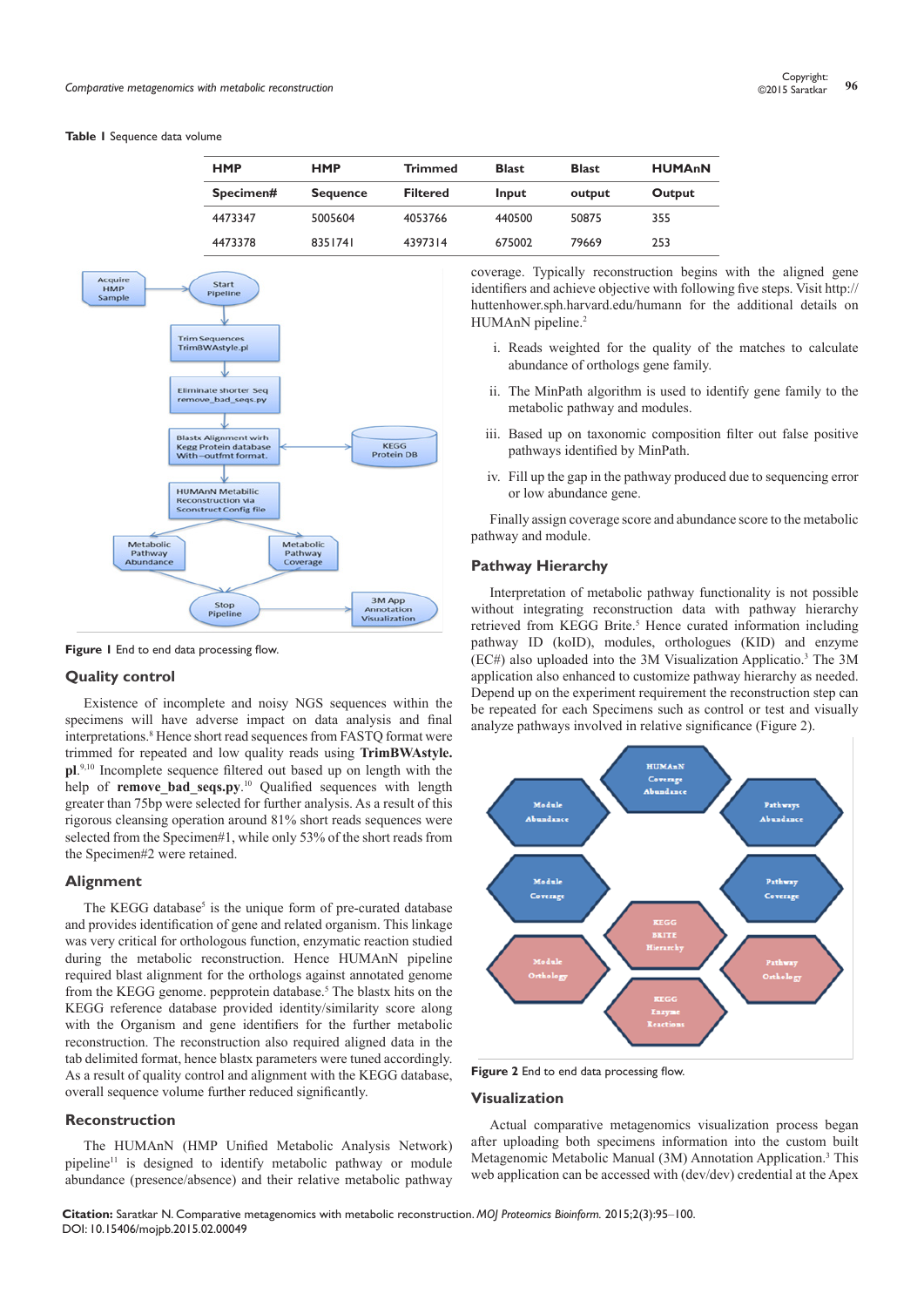#### **Table 1** Sequence data volume

| <b>HMP</b> | <b>HMP</b>      | <b>Trimmed</b>  | <b>Blast</b> | <b>Blast</b> | <b>HUMAnN</b> |  |  |
|------------|-----------------|-----------------|--------------|--------------|---------------|--|--|
| Specimen#  | <b>Sequence</b> | <b>Filtered</b> | Input        | output       | Output        |  |  |
| 4473347    | 5005604         | 4053766         | 440500       | 50875        | 355           |  |  |
| 4473378    | 8351741         | 4397314         | 675002       | 79669        | 253           |  |  |



**Figure 1** End to end data processing flow.

## **Quality control**

Existence of incomplete and noisy NGS sequences within the specimens will have adverse impact on data analysis and final interpretations.8 Hence short read sequences from FASTQ format were trimmed for repeated and low quality reads using **TrimBWAstyle. pl**. 9,10 Incomplete sequence filtered out based up on length with the help of **remove\_bad\_seqs.py**. <sup>10</sup> Qualified sequences with length greater than 75bp were selected for further analysis. As a result of this rigorous cleansing operation around 81% short reads sequences were selected from the Specimen#1, while only 53% of the short reads from the Specimen#2 were retained.

#### **Alignment**

The KEGG database<sup>5</sup> is the unique form of pre-curated database and provides identification of gene and related organism. This linkage was very critical for orthologous function, enzymatic reaction studied during the metabolic reconstruction. Hence HUMAnN pipeline required blast alignment for the orthologs against annotated genome from the KEGG genome. pepprotein database.<sup>5</sup> The blastx hits on the KEGG reference database provided identity/similarity score along with the Organism and gene identifiers for the further metabolic reconstruction. The reconstruction also required aligned data in the tab delimited format, hence blastx parameters were tuned accordingly. As a result of quality control and alignment with the KEGG database, overall sequence volume further reduced significantly.

#### **Reconstruction**

The HUMAnN (HMP Unified Metabolic Analysis Network) pipeline11 is designed to identify metabolic pathway or module abundance (presence/absence) and their relative metabolic pathway coverage. Typically reconstruction begins with the aligned gene identifiers and achieve objective with following five steps. Visit [http://](http://huttenhower.sph.harvard.edu/humann) [huttenhower.sph.harvard.edu/humann](http://huttenhower.sph.harvard.edu/humann) for the additional details on HUMAnN pipeline.<sup>2</sup>

- i. Reads weighted for the quality of the matches to calculate abundance of orthologs gene family.
- ii. The MinPath algorithm is used to identify gene family to the metabolic pathway and modules.
- iii. Based up on taxonomic composition filter out false positive pathways identified by MinPath.
- iv. Fill up the gap in the pathway produced due to sequencing error or low abundance gene.

Finally assign coverage score and abundance score to the metabolic pathway and module.

#### **Pathway Hierarchy**

Interpretation of metabolic pathway functionality is not possible without integrating reconstruction data with pathway hierarchy retrieved from KEGG Brite.<sup>5</sup> Hence curated information including pathway ID (koID), modules, orthologues (KID) and enzyme (EC#) also uploaded into the 3M Visualization Applicatio.<sup>3</sup> The 3M application also enhanced to customize pathway hierarchy as needed. Depend up on the experiment requirement the reconstruction step can be repeated for each Specimens such as control or test and visually analyze pathways involved in relative significance (Figure 2).



**Figure 2** End to end data processing flow.

#### **Visualization**

Actual comparative metagenomics visualization process began after uploading both specimens information into the custom built Metagenomic Metabolic Manual (3M) Annotation Application.<sup>3</sup> This web application can be accessed with (dev/dev) credential at the Apex

**Citation:** Saratkar N. Comparative metagenomics with metabolic reconstruction. *MOJ Proteomics Bioinform.* 2015;2(3):95‒100. DOI: [10.15406/mojpb.2015.02.00049](https://doi.org/10.15406/mojpb.2015.02.00049)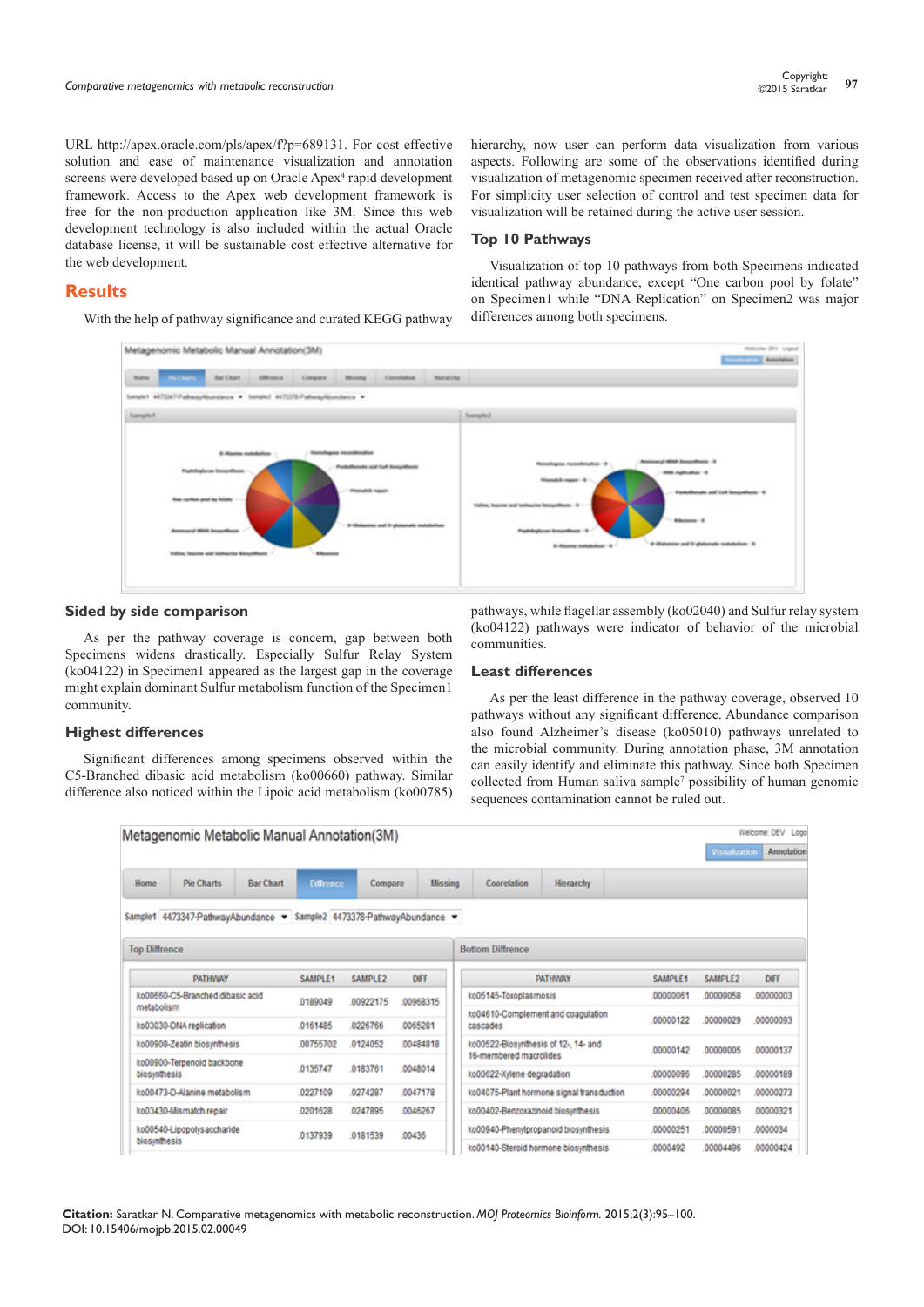URL [http://apex.oracle.com/pls/apex/f?p=689131.](http://apex.oracle.com/pls/apex/f?p=689131) For cost effective solution and ease of maintenance visualization and annotation screens were developed based up on Oracle Apex<sup>4</sup> rapid development framework. Access to the Apex web development framework is free for the non-production application like 3M. Since this web development technology is also included within the actual Oracle database license, it will be sustainable cost effective alternative for the web development.

# **Results**

With the help of pathway significance and curated KEGG pathway

hierarchy, now user can perform data visualization from various aspects. Following are some of the observations identified during visualization of metagenomic specimen received after reconstruction. For simplicity user selection of control and test specimen data for visualization will be retained during the active user session.

## **Top 10 Pathways**

Visualization of top 10 pathways from both Specimens indicated identical pathway abundance, except "One carbon pool by folate" on Specimen1 while "DNA Replication" on Specimen2 was major differences among both specimens.



## **Sided by side comparison**

As per the pathway coverage is concern, gap between both Specimens widens drastically. Especially Sulfur Relay System (ko04122) in Specimen1 appeared as the largest gap in the coverage might explain dominant Sulfur metabolism function of the Specimen1 community.

## **Highest differences**

Significant differences among specimens observed within the C5-Branched dibasic acid metabolism (ko00660) pathway. Similar difference also noticed within the Lipoic acid metabolism (ko00785)

pathways, while flagellar assembly (ko02040) and Sulfur relay system (ko04122) pathways were indicator of behavior of the microbial communities.

## **Least differences**

As per the least difference in the pathway coverage, observed 10 pathways without any significant difference. Abundance comparison also found Alzheimer's disease (ko05010) pathways unrelated to the microbial community. During annotation phase, 3M annotation can easily identify and eliminate this pathway. Since both Specimen collected from Human saliva sample<sup>7</sup> possibility of human genomic sequences contamination cannot be ruled out.

**Come PEUT Lane** 

|                      | Metagenomic Metabolic Manual Annotation(3M)                           |                  |                  |          |          |                                      |                                                |                                           |          | <b>Viscalization</b> | <b>ELEVANING PALE RANDAL</b><br>Annotation |
|----------------------|-----------------------------------------------------------------------|------------------|------------------|----------|----------|--------------------------------------|------------------------------------------------|-------------------------------------------|----------|----------------------|--------------------------------------------|
| Home                 | <b>Pie Charts</b>                                                     | <b>Bar Chart</b> | <b>Diffrence</b> | Compare  | Missing  |                                      | Coorelation                                    | <b>Hierarchy</b>                          |          |                      |                                            |
|                      | Sample1 4473347-PathwayAbundance = Sample2 4473378-PathwayAbundance = |                  |                  |          |          |                                      |                                                |                                           |          |                      |                                            |
| <b>Top Diffrence</b> |                                                                       |                  |                  |          |          |                                      | <b>Bottom Diffrence</b>                        |                                           |          |                      |                                            |
|                      | PATHWAY                                                               |                  | SAMPLE1          | SAMPLE2  | DIFF     |                                      |                                                | PATHWAY                                   | SAMPLE1  | SAMPLE2              | <b>DIFF</b>                                |
|                      | ko00660-C5-Branched dibasic acid                                      |                  | 0189049          | 00922175 | 00968315 |                                      | ko05145-Toxoplasmosis                          |                                           | 00000061 | 00000058             | 00000003                                   |
| metabolism           | ko03030-DNA replication                                               |                  | 0161485          | 0226766  | 0065281  |                                      | ko04610-Complement and coagulation<br>cascades |                                           | 00000122 | 00000029             | .00000093                                  |
|                      | ko00908-Zeatin biosynthesis                                           |                  | 00755702         | 0124052  | 00484818 |                                      | ko00522-Biosynthesis of 12-, 14- and           |                                           | 00000142 | 00000005             | 00000137                                   |
|                      | ko00900-Terpenoid backbone                                            |                  | 0135747          | 0183761  | 0048014  |                                      | 16-membered macrolides                         |                                           |          |                      |                                            |
| biosynthesis         |                                                                       |                  |                  |          |          |                                      | ko00622-Xylene degradation                     |                                           | 00000096 | 00000285             | 00000189                                   |
|                      | ko00473-D-Alanine metabolism                                          |                  | 0227109          | 0274287  | 0047178  |                                      |                                                | ko04075-Plant hormone signal transduction | 00000294 | 00000021             | .00000273                                  |
|                      | ko03430-Mismatch repair                                               |                  | 0201628          | 0247895  | 0046267  |                                      | ko00402-Benzoxazinoid biosynthesis             |                                           | 00000406 | 00000085             | 00000321                                   |
|                      | ko00540-Lipopolysaccharide                                            |                  | 0137939          | 0181539  | .00436   | ko00940-Phenylpropanoid biosynthesis |                                                | 00000251                                  | 00000591 | 0000034              |                                            |
| biosynthesis         |                                                                       |                  |                  |          |          |                                      | ko00140-Steroid hormone biosynthesis           |                                           | 0000492  | 00004496             | .00000424                                  |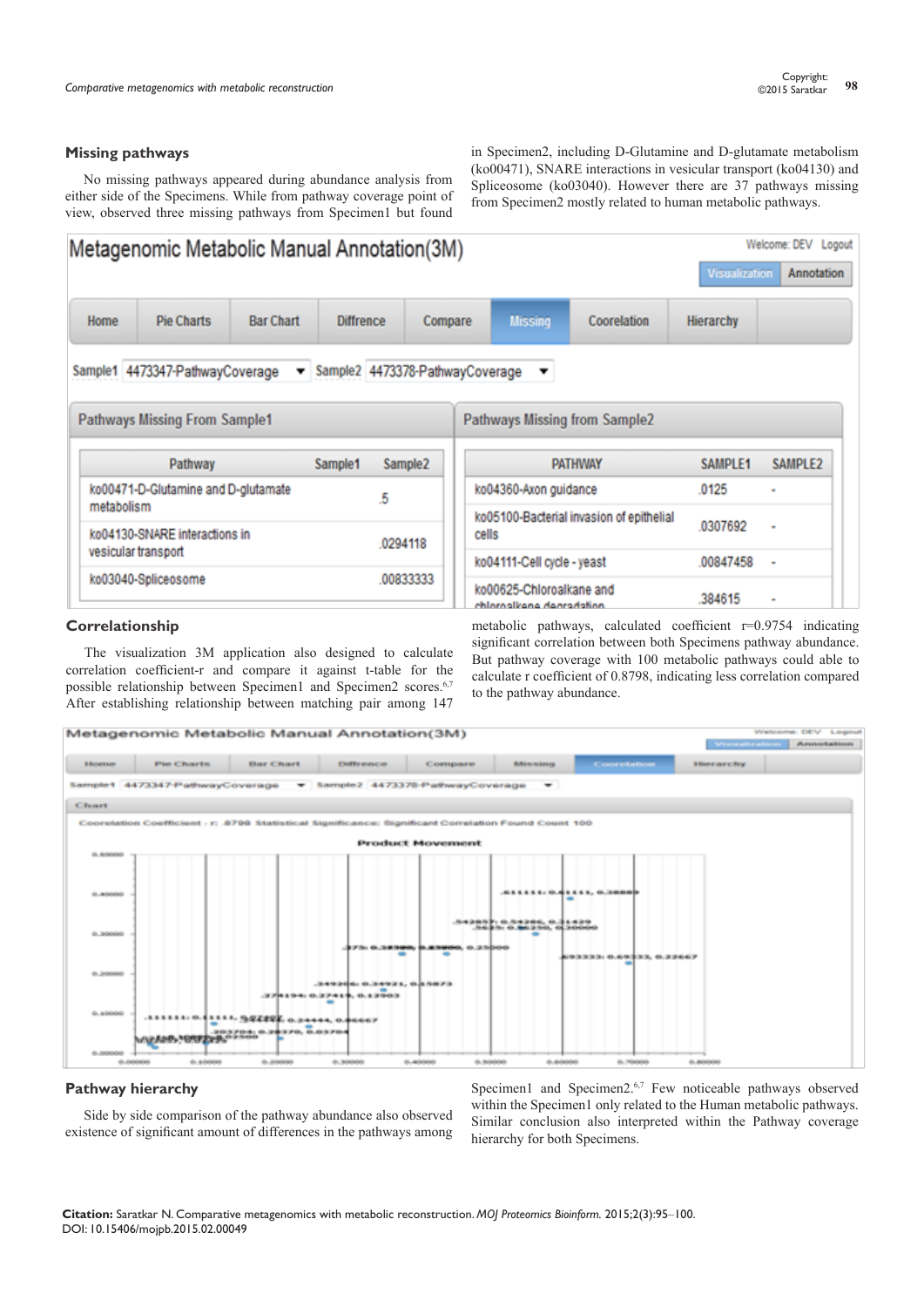#### **Missing pathways**

No missing pathways appeared during abundance analysis from either side of the Specimens. While from pathway coverage point of view, observed three missing pathways from Specimen1 but found

in Specimen2, including D-Glutamine and D-glutamate metabolism (ko00471), SNARE interactions in vesicular transport (ko04130) and Spliceosome (ko03040). However there are 37 pathways missing from Specimen2 mostly related to human metabolic pathways.



#### **Correlationship**

The visualization 3M application also designed to calculate correlation coefficient-r and compare it against t-table for the possible relationship between Specimen1 and Specimen2 scores.<sup>6,7</sup> After establishing relationship between matching pair among 147 metabolic pathways, calculated coefficient r=0.9754 indicating significant correlation between both Specimens pathway abundance. But pathway coverage with 100 metabolic pathways could able to calculate r coefficient of 0.8798, indicating less correlation compared to the pathway abundance.



#### **Pathway hierarchy**

Side by side comparison of the pathway abundance also observed existence of significant amount of differences in the pathways among

Specimen1 and Specimen2.<sup>6,7</sup> Few noticeable pathways observed within the Specimen1 only related to the Human metabolic pathways. Similar conclusion also interpreted within the Pathway coverage hierarchy for both Specimens.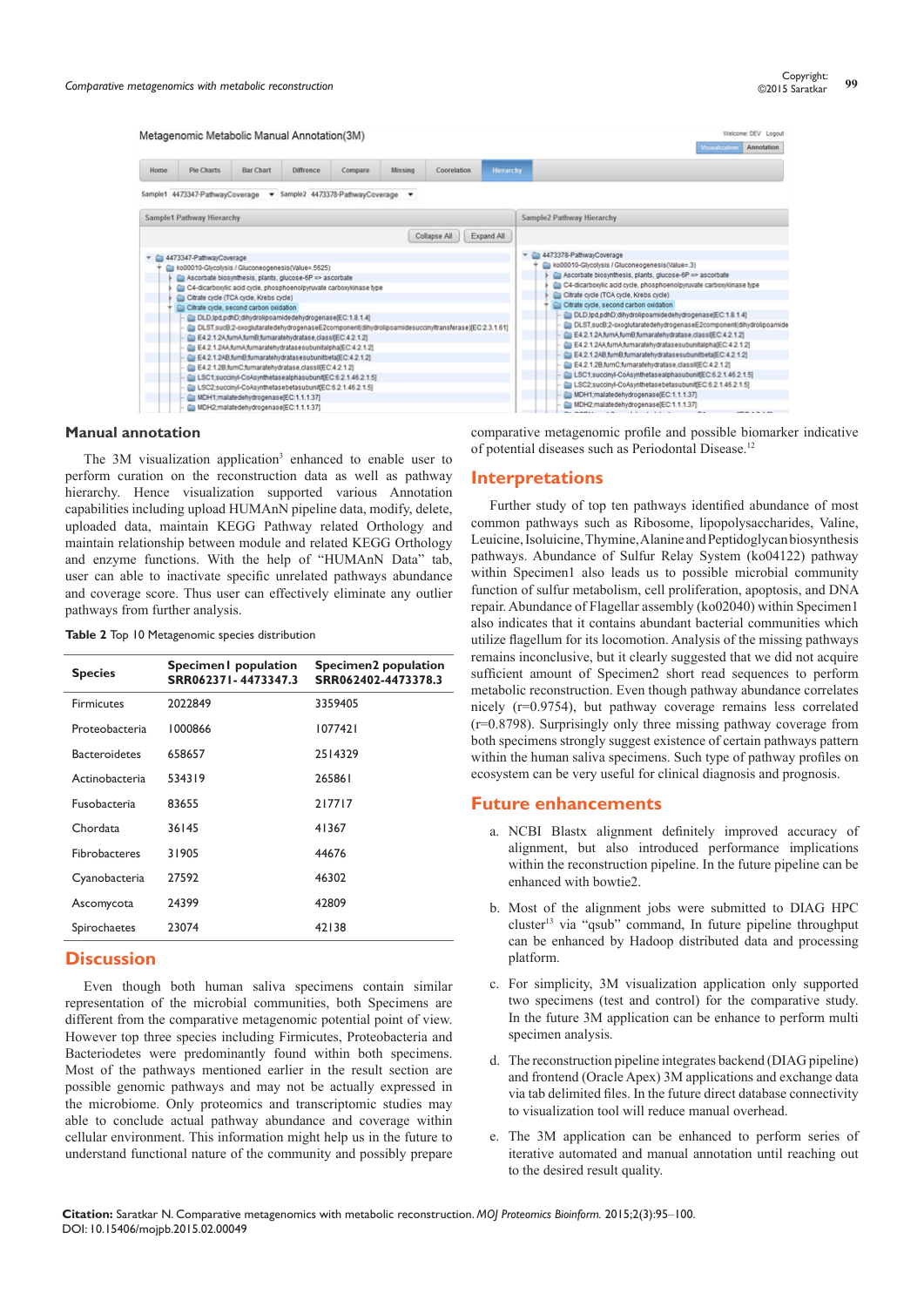

# **Manual annotation**

The 3M visualization application<sup>3</sup> enhanced to enable user to perform curation on the reconstruction data as well as pathway hierarchy. Hence visualization supported various Annotation capabilities including upload HUMAnN pipeline data, modify, delete, uploaded data, maintain KEGG Pathway related Orthology and maintain relationship between module and related KEGG Orthology and enzyme functions. With the help of "HUMAnN Data" tab, user can able to inactivate specific unrelated pathways abundance and coverage score. Thus user can effectively eliminate any outlier pathways from further analysis.

| Table 2 Top 10 Metagenomic species distribution |  |
|-------------------------------------------------|--|
|-------------------------------------------------|--|

| Specimen population<br>SRR062371-4473347.3 | Specimen2 population<br>SRR062402-4473378.3 |
|--------------------------------------------|---------------------------------------------|
| 2022849                                    | 3359405                                     |
| 1000866                                    | 1077421                                     |
| 658657                                     | 2514329                                     |
| 534319                                     | 265861                                      |
| 83655                                      | 217717                                      |
| 36145                                      | 41367                                       |
| 31905                                      | 44676                                       |
| 27592                                      | 46302                                       |
| 24399                                      | 42809                                       |
| 23074                                      | 42138                                       |
|                                            |                                             |

# **Discussion**

Even though both human saliva specimens contain similar representation of the microbial communities, both Specimens are different from the comparative metagenomic potential point of view. However top three species including Firmicutes, Proteobacteria and Bacteriodetes were predominantly found within both specimens. Most of the pathways mentioned earlier in the result section are possible genomic pathways and may not be actually expressed in the microbiome. Only proteomics and transcriptomic studies may able to conclude actual pathway abundance and coverage within cellular environment. This information might help us in the future to understand functional nature of the community and possibly prepare comparative metagenomic profile and possible biomarker indicative of potential diseases such as Periodontal Disease.12

#### **Interpretations**

Further study of top ten pathways identified abundance of most common pathways such as Ribosome, lipopolysaccharides, Valine, Leuicine, Isoluicine, Thymine, Alanine and Peptidoglycan biosynthesis pathways. Abundance of Sulfur Relay System (ko04122) pathway within Specimen1 also leads us to possible microbial community function of sulfur metabolism, cell proliferation, apoptosis, and DNA repair. Abundance of Flagellar assembly (ko02040) within Specimen1 also indicates that it contains abundant bacterial communities which utilize flagellum for its locomotion. Analysis of the missing pathways remains inconclusive, but it clearly suggested that we did not acquire sufficient amount of Specimen2 short read sequences to perform metabolic reconstruction. Even though pathway abundance correlates nicely (r=0.9754), but pathway coverage remains less correlated (r=0.8798). Surprisingly only three missing pathway coverage from both specimens strongly suggest existence of certain pathways pattern within the human saliva specimens. Such type of pathway profiles on ecosystem can be very useful for clinical diagnosis and prognosis.

#### **Future enhancements**

- a. NCBI Blastx alignment definitely improved accuracy of alignment, but also introduced performance implications within the reconstruction pipeline. In the future pipeline can be enhanced with bowtie2.
- b. Most of the alignment jobs were submitted to DIAG HPC cluster<sup>13</sup> via "qsub" command, In future pipeline throughput can be enhanced by Hadoop distributed data and processing platform.
- c. For simplicity, 3M visualization application only supported two specimens (test and control) for the comparative study. In the future 3M application can be enhance to perform multi specimen analysis.
- d. The reconstruction pipeline integrates backend (DIAG pipeline) and frontend (Oracle Apex) 3M applications and exchange data via tab delimited files. In the future direct database connectivity to visualization tool will reduce manual overhead.
- e. The 3M application can be enhanced to perform series of iterative automated and manual annotation until reaching out to the desired result quality.